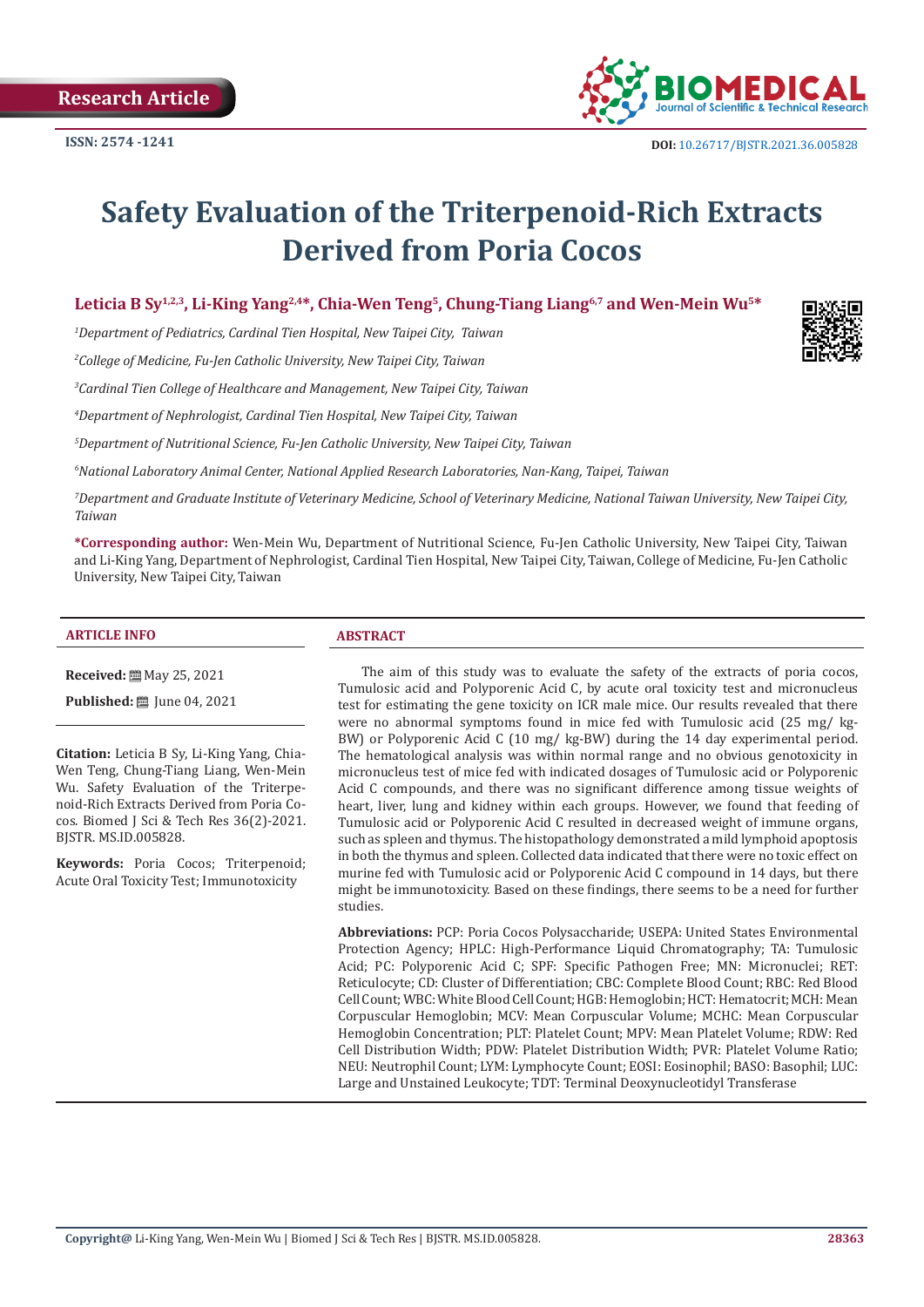

# **Safety Evaluation of the Triterpenoid-Rich Extracts Derived from Poria Cocos**

# Leticia B Sv<sup>1,2,3</sup>, Li-King Yang<sup>2,4\*</sup>, Chia-Wen Teng<sup>5</sup>, Chung-Tiang Liang<sup>6,7</sup> and Wen-Mein Wu<sup>5\*</sup>

*1 Department of Pediatrics, Cardinal Tien Hospital, New Taipei City, Taiwan*

*2 College of Medicine, Fu-Jen Catholic University, New Taipei City, Taiwan*

*3 Cardinal Tien College of Healthcare and Management, New Taipei City, Taiwan*

*4 Department of Nephrologist, Cardinal Tien Hospital, New Taipei City, Taiwan*

*5 Department of Nutritional Science, Fu-Jen Catholic University, New Taipei City, Taiwan*

*6 National Laboratory Animal Center, National Applied Research Laboratories, Nan-Kang, Taipei, Taiwan* 

*7 Department and Graduate Institute of Veterinary Medicine, School of Veterinary Medicine, National Taiwan University, New Taipei City, Taiwan*

**\*Corresponding author:** Wen-Mein Wu, Department of Nutritional Science, Fu-Jen Catholic University, New Taipei City, Taiwan and Li-King Yang, Department of Nephrologist, Cardinal Tien Hospital, New Taipei City, Taiwan, College of Medicine, Fu-Jen Catholic University, New Taipei City, Taiwan

#### **ARTICLE INFO ABSTRACT**

**Received:** 圖 May 25, 2021

**Published:** ■ June 04, 2021

**Citation:** Leticia B Sy, Li-King Yang, Chia-Wen Teng, Chung-Tiang Liang, Wen-Mein Wu. Safety Evaluation of the Triterpenoid-Rich Extracts Derived from Poria Cocos. Biomed J Sci & Tech Res 36(2)-2021. BJSTR. MS.ID.005828.

**Keywords:** Poria Cocos; Triterpenoid; Acute Oral Toxicity Test; Immunotoxicity

The aim of this study was to evaluate the safety of the extracts of poria cocos, Tumulosic acid and Polyporenic Acid C, by acute oral toxicity test and micronucleus test for estimating the gene toxicity on ICR male mice. Our results revealed that there were no abnormal symptoms found in mice fed with Tumulosic acid (25 mg/ kg-BW) or Polyporenic Acid C (10 mg/ kg-BW) during the 14 day experimental period. The hematological analysis was within normal range and no obvious genotoxicity in micronucleus test of mice fed with indicated dosages of Tumulosic acid or Polyporenic Acid C compounds, and there was no significant difference among tissue weights of heart, liver, lung and kidney within each groups. However, we found that feeding of Tumulosic acid or Polyporenic Acid C resulted in decreased weight of immune organs, such as spleen and thymus. The histopathology demonstrated a mild lymphoid apoptosis in both the thymus and spleen. Collected data indicated that there were no toxic effect on murine fed with Tumulosic acid or Polyporenic Acid C compound in 14 days, but there might be immunotoxicity. Based on these findings, there seems to be a need for further studies.

**Abbreviations:** PCP: Poria Cocos Polysaccharide; USEPA: United States Environmental Protection Agency; HPLC: High-Performance Liquid Chromatography; TA: Tumulosic Acid; PC: Polyporenic Acid C; SPF: Specific Pathogen Free; MN: Micronuclei; RET: Reticulocyte; CD: Cluster of Differentiation; CBC: Complete Blood Count; RBC: Red Blood Cell Count; WBC: White Blood Cell Count; HGB: Hemoglobin; HCT: Hematocrit; MCH: Mean Corpuscular Hemoglobin; MCV: Mean Corpuscular Volume; MCHC: Mean Corpuscular Hemoglobin Concentration; PLT: Platelet Count; MPV: Mean Platelet Volume; RDW: Red Cell Distribution Width; PDW: Platelet Distribution Width; PVR: Platelet Volume Ratio; NEU: Neutrophil Count; LYM: Lymphocyte Count; EOSI: Eosinophil; BASO: Basophil; LUC: Large and Unstained Leukocyte; TDT: Terminal Deoxynucleotidyl Transferase

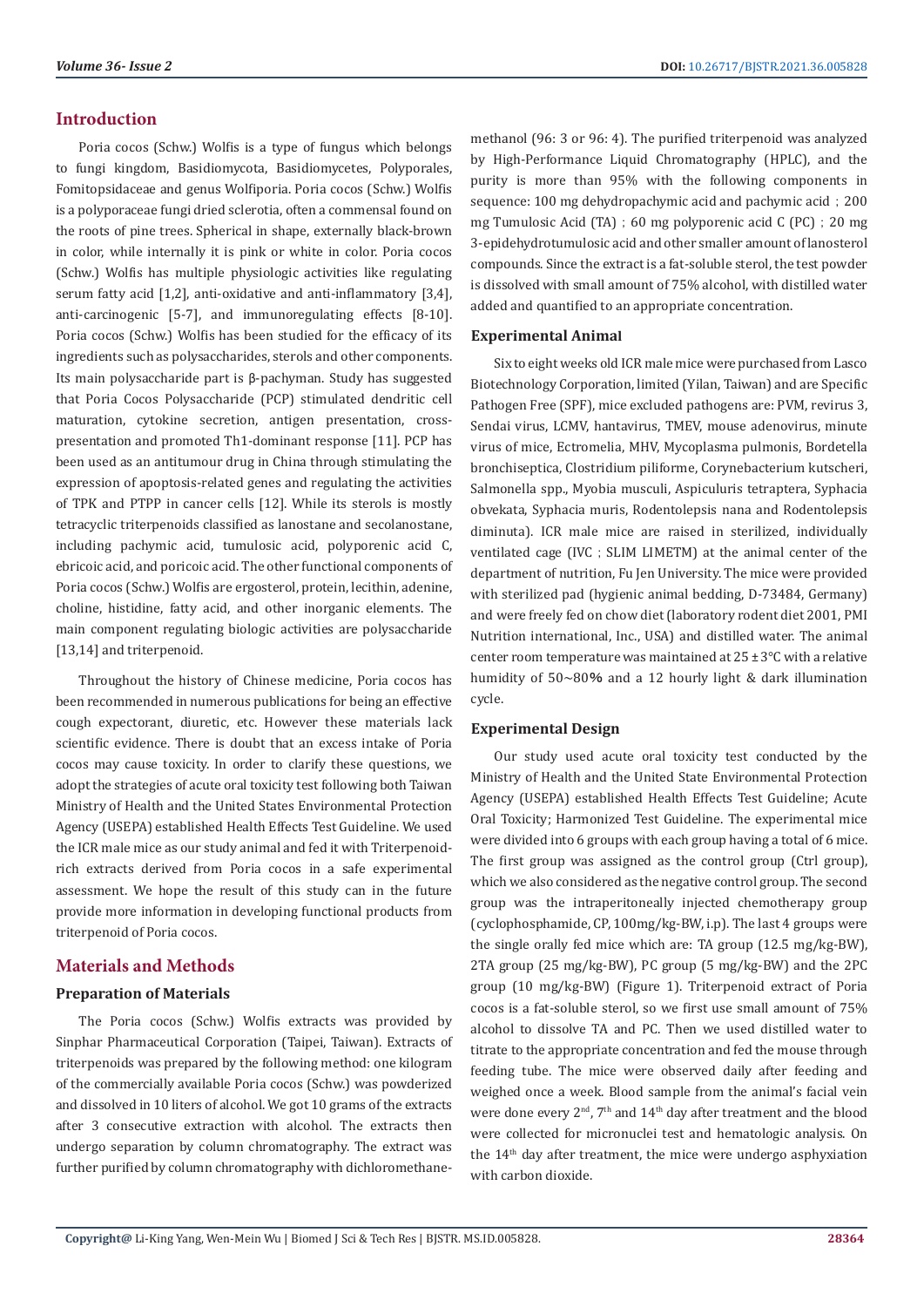# **Introduction**

Poria cocos (Schw.) Wolfis is a type of fungus which belongs to fungi kingdom, Basidiomycota, Basidiomycetes, Polyporales, Fomitopsidaceae and genus Wolfiporia. Poria cocos (Schw.) Wolfis is a polyporaceae fungi dried sclerotia, often a commensal found on the roots of pine trees. Spherical in shape, externally black-brown in color, while internally it is pink or white in color. Poria cocos (Schw.) Wolfis has multiple physiologic activities like regulating serum fatty acid [1,2], anti-oxidative and anti-inflammatory [3,4], anti-carcinogenic [5-7], and immunoregulating effects [8-10]. Poria cocos (Schw.) Wolfis has been studied for the efficacy of its ingredients such as polysaccharides, sterols and other components. Its main polysaccharide part is β-pachyman. Study has suggested that Poria Cocos Polysaccharide (PCP) stimulated dendritic cell maturation, cytokine secretion, antigen presentation, crosspresentation and promoted Th1-dominant response [11]. PCP has been used as an antitumour drug in China through stimulating the expression of apoptosis-related genes and regulating the activities of TPK and PTPP in cancer cells [12]. While its sterols is mostly tetracyclic triterpenoids classified as lanostane and secolanostane, including pachymic acid, tumulosic acid, polyporenic acid C, ebricoic acid, and poricoic acid. The other functional components of Poria cocos (Schw.) Wolfis are ergosterol, protein, lecithin, adenine, choline, histidine, fatty acid, and other inorganic elements. The main component regulating biologic activities are polysaccharide [13,14] and triterpenoid.

Throughout the history of Chinese medicine, Poria cocos has been recommended in numerous publications for being an effective cough expectorant, diuretic, etc. However these materials lack scientific evidence. There is doubt that an excess intake of Poria cocos may cause toxicity. In order to clarify these questions, we adopt the strategies of acute oral toxicity test following both Taiwan Ministry of Health and the United States Environmental Protection Agency (USEPA) established Health Effects Test Guideline. We used the ICR male mice as our study animal and fed it with Triterpenoidrich extracts derived from Poria cocos in a safe experimental assessment. We hope the result of this study can in the future provide more information in developing functional products from triterpenoid of Poria cocos.

# **Materials and Methods**

# **Preparation of Materials**

The Poria cocos (Schw.) Wolfis extracts was provided by Sinphar Pharmaceutical Corporation (Taipei, Taiwan). Extracts of triterpenoids was prepared by the following method: one kilogram of the commercially available Poria cocos (Schw.) was powderized and dissolved in 10 liters of alcohol. We got 10 grams of the extracts after 3 consecutive extraction with alcohol. The extracts then undergo separation by column chromatography. The extract was further purified by column chromatography with dichloromethanemethanol (96: 3 or 96: 4). The purified triterpenoid was analyzed by High-Performance Liquid Chromatography (HPLC), and the purity is more than 95% with the following components in sequence: 100 mg dehydropachymic acid and pachymic acid; 200 mg Tumulosic Acid (TA); 60 mg polyporenic acid C (PC); 20 mg 3-epidehydrotumulosic acid and other smaller amount of lanosterol compounds. Since the extract is a fat-soluble sterol, the test powder is dissolved with small amount of 75% alcohol, with distilled water added and quantified to an appropriate concentration.

#### **Experimental Animal**

Six to eight weeks old ICR male mice were purchased from Lasco Biotechnology Corporation, limited (Yilan, Taiwan) and are Specific Pathogen Free (SPF), mice excluded pathogens are: PVM, revirus 3, Sendai virus, LCMV, hantavirus, TMEV, mouse adenovirus, minute virus of mice, Ectromelia, MHV, Mycoplasma pulmonis, Bordetella bronchiseptica, Clostridium piliforme, Corynebacterium kutscheri, Salmonella spp., Myobia musculi, Aspiculuris tetraptera, Syphacia obvekata, Syphacia muris, Rodentolepsis nana and Rodentolepsis diminuta). ICR male mice are raised in sterilized, individually ventilated cage (IVC ; SLIM LIMETM) at the animal center of the department of nutrition. Fu Jen University. The mice were provided with sterilized pad (hygienic animal bedding, D-73484, Germany) and were freely fed on chow diet (laboratory rodent diet 2001, PMI Nutrition international, Inc., USA) and distilled water. The animal center room temperature was maintained at 25 ± 3℃ with a relative humidity of 50~80% and a 12 hourly light & dark illumination cycle.

### **Experimental Design**

Our study used acute oral toxicity test conducted by the Ministry of Health and the United State Environmental Protection Agency (USEPA) established Health Effects Test Guideline; Acute Oral Toxicity; Harmonized Test Guideline. The experimental mice were divided into 6 groups with each group having a total of 6 mice. The first group was assigned as the control group (Ctrl group), which we also considered as the negative control group. The second group was the intraperitoneally injected chemotherapy group (cyclophosphamide, CP, 100mg/kg-BW, i.p). The last 4 groups were the single orally fed mice which are: TA group (12.5 mg/kg-BW), 2TA group (25 mg/kg-BW), PC group (5 mg/kg-BW) and the 2PC group (10 mg/kg-BW) (Figure 1). Triterpenoid extract of Poria cocos is a fat-soluble sterol, so we first use small amount of 75% alcohol to dissolve TA and PC. Then we used distilled water to titrate to the appropriate concentration and fed the mouse through feeding tube. The mice were observed daily after feeding and weighed once a week. Blood sample from the animal's facial vein were done every  $2<sup>nd</sup>$ ,  $7<sup>th</sup>$  and  $14<sup>th</sup>$  day after treatment and the blood were collected for micronuclei test and hematologic analysis. On the  $14<sup>th</sup>$  day after treatment, the mice were undergo asphyxiation with carbon dioxide.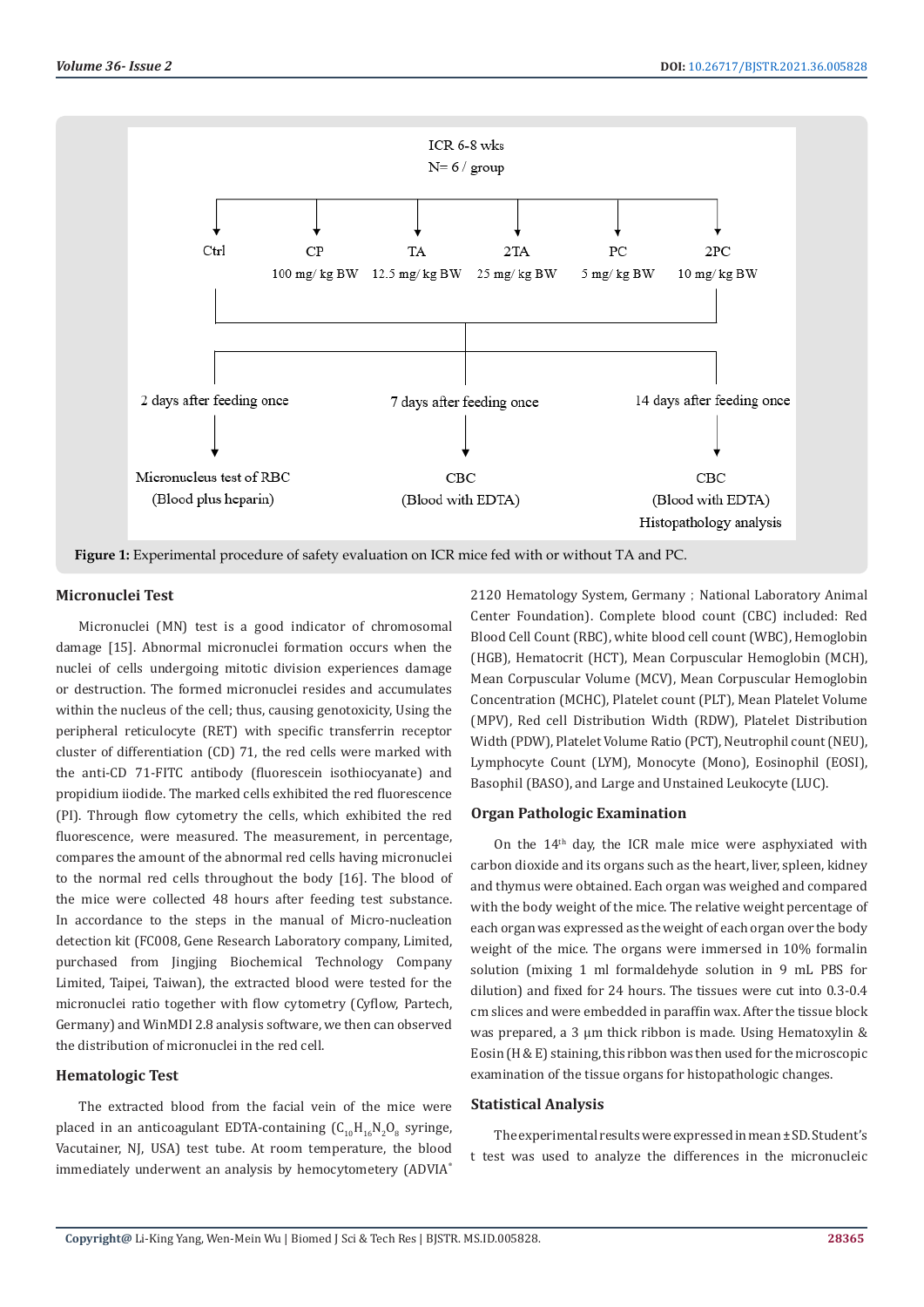

#### **Micronuclei Test**

Micronuclei (MN) test is a good indicator of chromosomal damage [15]. Abnormal micronuclei formation occurs when the nuclei of cells undergoing mitotic division experiences damage or destruction. The formed micronuclei resides and accumulates within the nucleus of the cell; thus, causing genotoxicity, Using the peripheral reticulocyte (RET) with specific transferrin receptor cluster of differentiation (CD) 71, the red cells were marked with the anti-CD 71-FITC antibody (fluorescein isothiocyanate) and propidium iiodide. The marked cells exhibited the red fluorescence (PI). Through flow cytometry the cells, which exhibited the red fluorescence, were measured. The measurement, in percentage, compares the amount of the abnormal red cells having micronuclei to the normal red cells throughout the body [16]. The blood of the mice were collected 48 hours after feeding test substance. In accordance to the steps in the manual of Micro-nucleation detection kit (FC008, Gene Research Laboratory company, Limited, purchased from Jingjing Biochemical Technology Company Limited, Taipei, Taiwan), the extracted blood were tested for the micronuclei ratio together with flow cytometry (Cyflow, Partech, Germany) and WinMDI 2.8 analysis software, we then can observed the distribution of micronuclei in the red cell.

#### **Hematologic Test**

The extracted blood from the facial vein of the mice were placed in an anticoagulant EDTA-containing  $(C_{10}H_{16}N_2O_8)$  syringe, Vacutainer, NJ, USA) test tube. At room temperature, the blood immediately underwent an analysis by hemocytometery (ADVIA®

2120 Hematology System, Germany; National Laboratory Animal Center Foundation). Complete blood count (CBC) included: Red Blood Cell Count (RBC), white blood cell count (WBC), Hemoglobin (HGB), Hematocrit (HCT), Mean Corpuscular Hemoglobin (MCH), Mean Corpuscular Volume (MCV), Mean Corpuscular Hemoglobin Concentration (MCHC), Platelet count (PLT), Mean Platelet Volume (MPV), Red cell Distribution Width (RDW), Platelet Distribution Width (PDW), Platelet Volume Ratio (PCT), Neutrophil count (NEU), Lymphocyte Count (LYM), Monocyte (Mono), Eosinophil (EOSI), Basophil (BASO), and Large and Unstained Leukocyte (LUC).

#### **Organ Pathologic Examination**

On the  $14<sup>th</sup>$  day, the ICR male mice were asphyxiated with carbon dioxide and its organs such as the heart, liver, spleen, kidney and thymus were obtained. Each organ was weighed and compared with the body weight of the mice. The relative weight percentage of each organ was expressed as the weight of each organ over the body weight of the mice. The organs were immersed in 10% formalin solution (mixing 1 ml formaldehyde solution in 9 mL PBS for dilution) and fixed for 24 hours. The tissues were cut into 0.3-0.4 cm slices and were embedded in paraffin wax. After the tissue block was prepared, a 3 μm thick ribbon is made. Using Hematoxylin & Eosin (H & E) staining, this ribbon was then used for the microscopic examination of the tissue organs for histopathologic changes.

#### **Statistical Analysis**

The experimental results were expressed in mean ± SD. Student's t test was used to analyze the differences in the micronucleic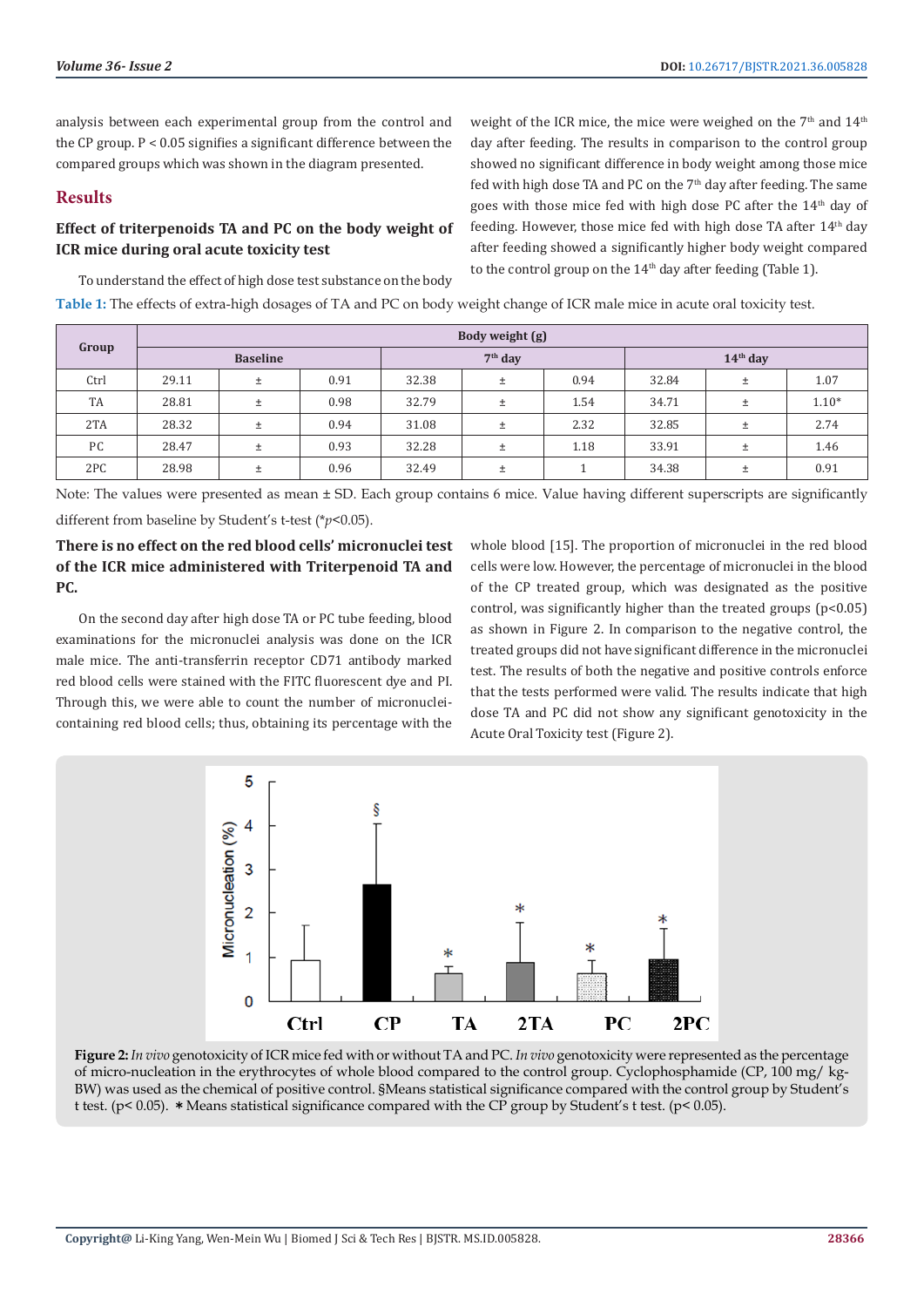analysis between each experimental group from the control and the CP group. P < 0.05 signifies a significant difference between the compared groups which was shown in the diagram presented.

# **Results**

# **Effect of triterpenoids TA and PC on the body weight of ICR mice during oral acute toxicity test**

weight of the ICR mice, the mice were weighed on the  $7<sup>th</sup>$  and  $14<sup>th</sup>$ day after feeding. The results in comparison to the control group showed no significant difference in body weight among those mice fed with high dose TA and PC on the 7<sup>th</sup> day after feeding. The same goes with those mice fed with high dose PC after the 14th day of feeding. However, those mice fed with high dose TA after  $14<sup>th</sup>$  day after feeding showed a significantly higher body weight compared to the control group on the  $14<sup>th</sup>$  day after feeding (Table 1).

To understand the effect of high dose test substance on the body **Table 1:** The effects of extra-high dosages of TA and PC on body weight change of ICR male mice in acute oral toxicity test.

| Group | Body weight (g) |       |      |           |       |      |            |       |         |  |
|-------|-----------------|-------|------|-----------|-------|------|------------|-------|---------|--|
|       | <b>Baseline</b> |       |      | $7th$ day |       |      | $14th$ day |       |         |  |
| Ctrl  | 29.11           | $\pm$ | 0.91 | 32.38     | $\pm$ | 0.94 | 32.84      | Ŧ     | 1.07    |  |
| TA    | 28.81           | $\pm$ | 0.98 | 32.79     | $\pm$ | 1.54 | 34.71      | 土     | $1.10*$ |  |
| 2TA   | 28.32           | $\pm$ | 0.94 | 31.08     | Ŧ     | 2.32 | 32.85      | $\pm$ | 2.74    |  |
| PC    | 28.47           | $\pm$ | 0.93 | 32.28     | Ŧ     | 1.18 | 33.91      | 土     | 1.46    |  |
| 2PC   | 28.98           | $\pm$ | 0.96 | 32.49     | Ŧ     |      | 34.38      | 土     | 0.91    |  |

Note: The values were presented as mean ± SD. Each group contains 6 mice. Value having different superscripts are significantly different from baseline by Student's t-test (\**p*<0.05).

# **There is no effect on the red blood cells' micronuclei test of the ICR mice administered with Triterpenoid TA and PC.**

On the second day after high dose TA or PC tube feeding, blood examinations for the micronuclei analysis was done on the ICR male mice. The anti-transferrin receptor CD71 antibody marked red blood cells were stained with the FITC fluorescent dye and PI. Through this, we were able to count the number of micronucleicontaining red blood cells; thus, obtaining its percentage with the

whole blood [15]. The proportion of micronuclei in the red blood cells were low. However, the percentage of micronuclei in the blood of the CP treated group, which was designated as the positive control, was significantly higher than the treated groups  $(p<0.05)$ as shown in Figure 2. In comparison to the negative control, the treated groups did not have significant difference in the micronuclei test. The results of both the negative and positive controls enforce that the tests performed were valid. The results indicate that high dose TA and PC did not show any significant genotoxicity in the Acute Oral Toxicity test (Figure 2).



**Figure 2:** *In vivo* genotoxicity of ICR mice fed with or without TA and PC. *In vivo* genotoxicity were represented as the percentage of micro-nucleation in the erythrocytes of whole blood compared to the control group. Cyclophosphamide (CP, 100 mg/ kg-BW) was used as the chemical of positive control. §Means statistical significance compared with the control group by Student's t test. (p< 0.05). \*Means statistical significance compared with the CP group by Student's t test. (p< 0.05).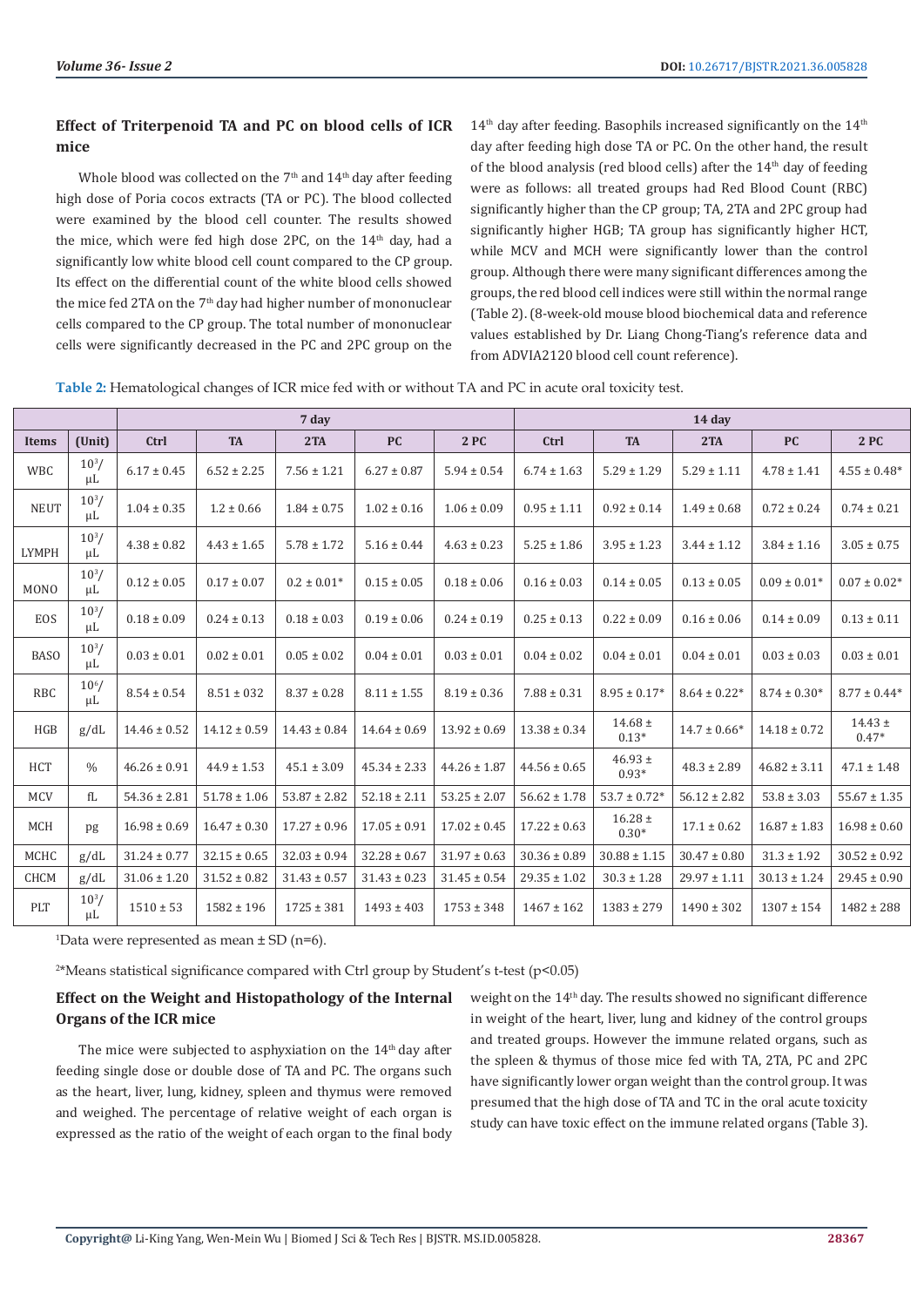# **Effect of Triterpenoid TA and PC on blood cells of ICR mice**

Whole blood was collected on the 7<sup>th</sup> and 14<sup>th</sup> day after feeding high dose of Poria cocos extracts (TA or PC). The blood collected were examined by the blood cell counter. The results showed the mice, which were fed high dose 2PC, on the 14<sup>th</sup> day, had a significantly low white blood cell count compared to the CP group. Its effect on the differential count of the white blood cells showed the mice fed 2TA on the 7<sup>th</sup> day had higher number of mononuclear cells compared to the CP group. The total number of mononuclear cells were significantly decreased in the PC and 2PC group on the

 $14<sup>th</sup>$  day after feeding. Basophils increased significantly on the  $14<sup>th</sup>$ day after feeding high dose TA or PC. On the other hand, the result of the blood analysis (red blood cells) after the  $14<sup>th</sup>$  day of feeding were as follows: all treated groups had Red Blood Count (RBC) significantly higher than the CP group; TA, 2TA and 2PC group had significantly higher HGB; TA group has significantly higher HCT, while MCV and MCH were significantly lower than the control group. Although there were many significant differences among the groups, the red blood cell indices were still within the normal range (Table 2). (8-week-old mouse blood biochemical data and reference values established by Dr. Liang Chong-Tiang's reference data and from ADVIA2120 blood cell count reference).

| Table 2: Hematological changes of ICR mice fed with or without TA and PC in acute oral toxicity test. |  |
|-------------------------------------------------------------------------------------------------------|--|
|-------------------------------------------------------------------------------------------------------|--|

|              |                       | 7 day            |                  |                  |                  |                  | 14 day           |                        |                  |                  |                        |
|--------------|-----------------------|------------------|------------------|------------------|------------------|------------------|------------------|------------------------|------------------|------------------|------------------------|
| <b>Items</b> | (Unit)                | Ctrl             | <b>TA</b>        | 2TA              | <b>PC</b>        | 2PC              | Ctrl             | <b>TA</b>              | 2TA              | <b>PC</b>        | 2PC                    |
| <b>WBC</b>   | $10^{3}$ /<br>μL      | $6.17 \pm 0.45$  | $6.52 \pm 2.25$  | $7.56 \pm 1.21$  | $6.27 \pm 0.87$  | $5.94 \pm 0.54$  | $6.74 \pm 1.63$  | $5.29 \pm 1.29$        | $5.29 \pm 1.11$  | $4.78 \pm 1.41$  | $4.55 \pm 0.48^*$      |
| <b>NEUT</b>  | $10^{3}/$<br>μL       | $1.04 \pm 0.35$  | $1.2 \pm 0.66$   | $1.84 \pm 0.75$  | $1.02 \pm 0.16$  | $1.06 \pm 0.09$  | $0.95 \pm 1.11$  | $0.92 \pm 0.14$        | $1.49 \pm 0.68$  | $0.72 \pm 0.24$  | $0.74 \pm 0.21$        |
| <b>LYMPH</b> | $10^{3}$ /<br>μL      | $4.38 \pm 0.82$  | $4.43 \pm 1.65$  | $5.78 \pm 1.72$  | $5.16 \pm 0.44$  | $4.63 \pm 0.23$  | $5.25 \pm 1.86$  | $3.95 \pm 1.23$        | $3.44 \pm 1.12$  | $3.84 \pm 1.16$  | $3.05 \pm 0.75$        |
| <b>MONO</b>  | $10^{3}/$<br>$\mu$ L  | $0.12 \pm 0.05$  | $0.17 \pm 0.07$  | $0.2 \pm 0.01*$  | $0.15 \pm 0.05$  | $0.18 \pm 0.06$  | $0.16 \pm 0.03$  | $0.14 \pm 0.05$        | $0.13 \pm 0.05$  | $0.09 \pm 0.01*$ | $0.07 \pm 0.02*$       |
| <b>EOS</b>   | $10^{3}/$<br>μL       | $0.18 \pm 0.09$  | $0.24 \pm 0.13$  | $0.18 \pm 0.03$  | $0.19 \pm 0.06$  | $0.24 \pm 0.19$  | $0.25 \pm 0.13$  | $0.22 \pm 0.09$        | $0.16 \pm 0.06$  | $0.14 \pm 0.09$  | $0.13 \pm 0.11$        |
| <b>BASO</b>  | $10^{3}/$<br>μL       | $0.03 \pm 0.01$  | $0.02 \pm 0.01$  | $0.05 \pm 0.02$  | $0.04 \pm 0.01$  | $0.03 \pm 0.01$  | $0.04 \pm 0.02$  | $0.04 \pm 0.01$        | $0.04 \pm 0.01$  | $0.03 \pm 0.03$  | $0.03 \pm 0.01$        |
| <b>RBC</b>   | $10^{6}$ /<br>$\mu$ L | $8.54 \pm 0.54$  | $8.51 \pm 0.32$  | $8.37 \pm 0.28$  | $8.11 \pm 1.55$  | $8.19 \pm 0.36$  | $7.88 \pm 0.31$  | $8.95 \pm 0.17*$       | $8.64 \pm 0.22*$ | $8.74 \pm 0.30*$ | $8.77 \pm 0.44*$       |
| <b>HGB</b>   | g/dL                  | $14.46 \pm 0.52$ | $14.12 \pm 0.59$ | $14.43 \pm 0.84$ | $14.64 \pm 0.69$ | $13.92 \pm 0.69$ | $13.38 \pm 0.34$ | $14.68 \pm$<br>$0.13*$ | $14.7 \pm 0.66*$ | $14.18 \pm 0.72$ | $14.43 \pm$<br>$0.47*$ |
| <b>HCT</b>   | $\frac{0}{0}$         | $46.26 \pm 0.91$ | $44.9 \pm 1.53$  | $45.1 \pm 3.09$  | $45.34 \pm 2.33$ | $44.26 \pm 1.87$ | $44.56 \pm 0.65$ | $46.93 \pm$<br>$0.93*$ | $48.3 \pm 2.89$  | $46.82 \pm 3.11$ | $47.1 \pm 1.48$        |
| <b>MCV</b>   | fL                    | $54.36 \pm 2.81$ | $51.78 \pm 1.06$ | $53.87 \pm 2.82$ | $52.18 \pm 2.11$ | $53.25 \pm 2.07$ | $56.62 \pm 1.78$ | $53.7 \pm 0.72*$       | $56.12 \pm 2.82$ | $53.8 \pm 3.03$  | $55.67 \pm 1.35$       |
| <b>MCH</b>   | pg                    | $16.98 \pm 0.69$ | $16.47 \pm 0.30$ | $17.27 \pm 0.96$ | $17.05 \pm 0.91$ | $17.02 \pm 0.45$ | $17.22 \pm 0.63$ | $16.28 \pm$<br>$0.30*$ | $17.1 \pm 0.62$  | $16.87 \pm 1.83$ | $16.98 \pm 0.60$       |
| <b>MCHC</b>  | g/dL                  | $31.24 \pm 0.77$ | $32.15 \pm 0.65$ | $32.03 \pm 0.94$ | $32.28 \pm 0.67$ | $31.97 \pm 0.63$ | $30.36 \pm 0.89$ | $30.88 \pm 1.15$       | $30.47 \pm 0.80$ | $31.3 \pm 1.92$  | $30.52 \pm 0.92$       |
| <b>CHCM</b>  | g/dL                  | $31.06 \pm 1.20$ | $31.52 \pm 0.82$ | $31.43 \pm 0.57$ | $31.43 \pm 0.23$ | $31.45 \pm 0.54$ | $29.35 \pm 1.02$ | $30.3 \pm 1.28$        | $29.97 \pm 1.11$ | $30.13 \pm 1.24$ | $29.45 \pm 0.90$       |
| PLT          | $10^{3}/$<br>μL       | $1510 \pm 53$    | $1582 \pm 196$   | $1725 \pm 381$   | $1493 \pm 403$   | $1753 \pm 348$   | $1467 \pm 162$   | $1383 \pm 279$         | $1490 \pm 302$   | $1307 \pm 154$   | $1482 \pm 288$         |

<sup>1</sup>Data were represented as mean  $\pm$  SD (n=6).

2 \*Means statistical significance compared with Ctrl group by Student's t-test (p<0.05)

# **Effect on the Weight and Histopathology of the Internal Organs of the ICR mice**

The mice were subjected to asphyxiation on the 14th day after feeding single dose or double dose of TA and PC. The organs such as the heart, liver, lung, kidney, spleen and thymus were removed and weighed. The percentage of relative weight of each organ is expressed as the ratio of the weight of each organ to the final body

weight on the 14<sup>th</sup> day. The results showed no significant difference in weight of the heart, liver, lung and kidney of the control groups and treated groups. However the immune related organs, such as the spleen & thymus of those mice fed with TA, 2TA, PC and 2PC have significantly lower organ weight than the control group. It was presumed that the high dose of TA and TC in the oral acute toxicity study can have toxic effect on the immune related organs (Table 3).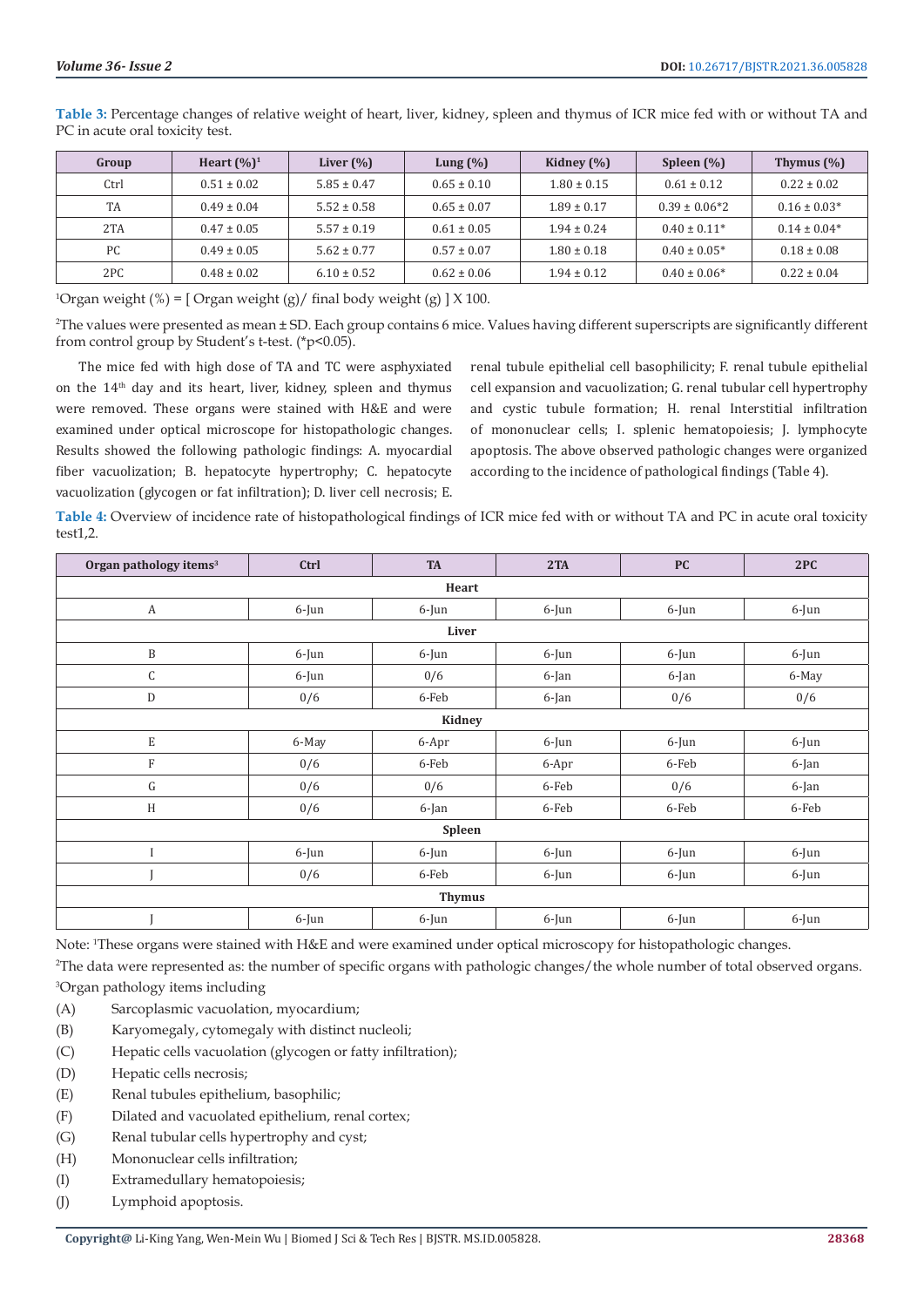**Table 3:** Percentage changes of relative weight of heart, liver, kidney, spleen and thymus of ICR mice fed with or without TA and PC in acute oral toxicity test.

| Group | Heart $(\%)^1$  | Liver $(\% )$   | Lung $(\% )$    | Kidney $(\% )$  | Spleen $(\% )$    | Thymus $(\%)$    |
|-------|-----------------|-----------------|-----------------|-----------------|-------------------|------------------|
| Ctrl  | $0.51 \pm 0.02$ | $5.85 \pm 0.47$ | $0.65 \pm 0.10$ | $1.80 \pm 0.15$ | $0.61 \pm 0.12$   | $0.22 \pm 0.02$  |
| TA    | $0.49 \pm 0.04$ | $5.52 \pm 0.58$ | $0.65 \pm 0.07$ | $1.89 \pm 0.17$ | $0.39 \pm 0.06*2$ | $0.16 \pm 0.03*$ |
| 2TA   | $0.47 \pm 0.05$ | $5.57 \pm 0.19$ | $0.61 \pm 0.05$ | $1.94 \pm 0.24$ | $0.40 \pm 0.11*$  | $0.14 \pm 0.04*$ |
| PC    | $0.49 \pm 0.05$ | $5.62 \pm 0.77$ | $0.57 \pm 0.07$ | $1.80 \pm 0.18$ | $0.40 \pm 0.05*$  | $0.18 \pm 0.08$  |
| 2PC   | $0.48 \pm 0.02$ | $6.10 \pm 0.52$ | $0.62 \pm 0.06$ | $1.94 \pm 0.12$ | $0.40 \pm 0.06*$  | $0.22 \pm 0.04$  |

<sup>1</sup>Organ weight (%) = [Organ weight (g)/ final body weight (g) ]  $X$  100.

2 The values were presented as mean ± SD. Each group contains 6 mice. Values having different superscripts are significantly different from control group by Student's t-test. (\*p<0.05).

The mice fed with high dose of TA and TC were asphyxiated on the 14th day and its heart, liver, kidney, spleen and thymus were removed. These organs were stained with H&E and were examined under optical microscope for histopathologic changes. Results showed the following pathologic findings: A. myocardial fiber vacuolization; B. hepatocyte hypertrophy; C. hepatocyte vacuolization (glycogen or fat infiltration); D. liver cell necrosis; E.

renal tubule epithelial cell basophilicity; F. renal tubule epithelial cell expansion and vacuolization; G. renal tubular cell hypertrophy and cystic tubule formation; H. renal Interstitial infiltration of mononuclear cells; I. splenic hematopoiesis; J. lymphocyte apoptosis. The above observed pathologic changes were organized according to the incidence of pathological findings (Table 4).

**Table 4:** Overview of incidence rate of histopathological findings of ICR mice fed with or without TA and PC in acute oral toxicity test1,2.

| Organ pathology items <sup>3</sup> | Ctrl     | <b>TA</b> | 2TA      | <b>PC</b> | 2PC   |  |  |  |  |
|------------------------------------|----------|-----------|----------|-----------|-------|--|--|--|--|
| Heart                              |          |           |          |           |       |  |  |  |  |
| $\boldsymbol{A}$                   | 6-Jun    | $6$ -Jun  | 6-Jun    | 6-Jun     | 6-Jun |  |  |  |  |
| Liver                              |          |           |          |           |       |  |  |  |  |
| $\, {\bf B}$                       | 6-Jun    | 6-Jun     | 6-Jun    | 6-Jun     | 6-Jun |  |  |  |  |
| C                                  | 6-Jun    | 0/6       | 6-Jan    | 6-Jan     | 6-May |  |  |  |  |
| D                                  | 0/6      | 6-Feb     | 6-Jan    | 0/6       | 0/6   |  |  |  |  |
| Kidney                             |          |           |          |           |       |  |  |  |  |
| $\mathbf E$                        | 6-May    | 6-Apr     | 6-Jun    | 6-Jun     | 6-Jun |  |  |  |  |
| $\mathbf{F}$                       | 0/6      | 6-Feb     | 6-Apr    | 6-Feb     | 6-Jan |  |  |  |  |
| G                                  | 0/6      | 0/6       | 6-Feb    | 0/6       | 6-Jan |  |  |  |  |
| H                                  | 0/6      | 6-Jan     | 6-Feb    | 6-Feb     | 6-Feb |  |  |  |  |
| Spleen                             |          |           |          |           |       |  |  |  |  |
|                                    | 6-Jun    | 6-Jun     | 6-Jun    | 6-Jun     | 6-Jun |  |  |  |  |
|                                    | 0/6      | 6-Feb     | $6$ -Jun | $6$ -Jun  | 6-Jun |  |  |  |  |
| <b>Thymus</b>                      |          |           |          |           |       |  |  |  |  |
|                                    | $6$ -Jun | $6$ -Jun  | $6$ -Jun | $6$ -Jun  | 6-Jun |  |  |  |  |

Note: <sup>1</sup>These organs were stained with H&E and were examined under optical microscopy for histopathologic changes.

2 The data were represented as: the number of specific organs with pathologic changes/the whole number of total observed organs. 3 Organ pathology items including

- (A) Sarcoplasmic vacuolation, myocardium;
- (B) Karyomegaly, cytomegaly with distinct nucleoli;
- (C) Hepatic cells vacuolation (glycogen or fatty infiltration);
- (D) Hepatic cells necrosis;
- (E) Renal tubules epithelium, basophilic;
- (F) Dilated and vacuolated epithelium, renal cortex;
- (G) Renal tubular cells hypertrophy and cyst;
- (H) Mononuclear cells infiltration;
- (I) Extramedullary hematopoiesis;
- (J) Lymphoid apoptosis.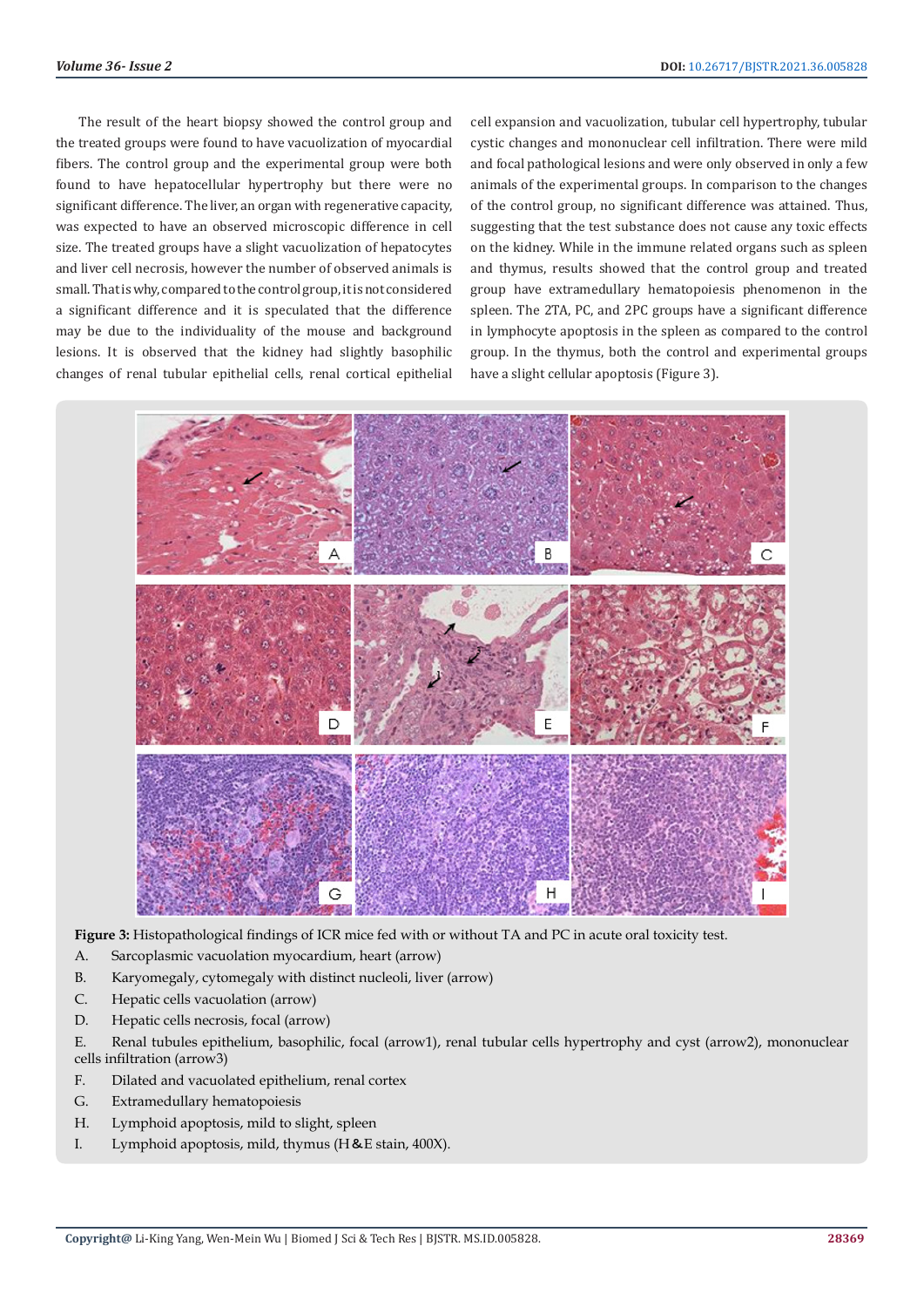The result of the heart biopsy showed the control group and the treated groups were found to have vacuolization of myocardial fibers. The control group and the experimental group were both found to have hepatocellular hypertrophy but there were no significant difference. The liver, an organ with regenerative capacity, was expected to have an observed microscopic difference in cell size. The treated groups have a slight vacuolization of hepatocytes and liver cell necrosis, however the number of observed animals is small. That is why, compared to the control group, it is not considered a significant difference and it is speculated that the difference may be due to the individuality of the mouse and background lesions. It is observed that the kidney had slightly basophilic changes of renal tubular epithelial cells, renal cortical epithelial

cell expansion and vacuolization, tubular cell hypertrophy, tubular cystic changes and mononuclear cell infiltration. There were mild and focal pathological lesions and were only observed in only a few animals of the experimental groups. In comparison to the changes of the control group, no significant difference was attained. Thus, suggesting that the test substance does not cause any toxic effects on the kidney. While in the immune related organs such as spleen and thymus, results showed that the control group and treated group have extramedullary hematopoiesis phenomenon in the spleen. The 2TA, PC, and 2PC groups have a significant difference in lymphocyte apoptosis in the spleen as compared to the control group. In the thymus, both the control and experimental groups have a slight cellular apoptosis (Figure 3).



**Figure 3:** Histopathological findings of ICR mice fed with or without TA and PC in acute oral toxicity test.

- A. Sarcoplasmic vacuolation myocardium, heart (arrow)
- B. Karyomegaly, cytomegaly with distinct nucleoli, liver (arrow)
- C. Hepatic cells vacuolation (arrow)
- D. Hepatic cells necrosis, focal (arrow)
- E. Renal tubules epithelium, basophilic, focal (arrow1), renal tubular cells hypertrophy and cyst (arrow2), mononuclear cells infiltration (arrow3)
- F. Dilated and vacuolated epithelium, renal cortex
- G. Extramedullary hematopoiesis
- H. Lymphoid apoptosis, mild to slight, spleen
- I. Lymphoid apoptosis, mild, thymus (H&E stain, 400X).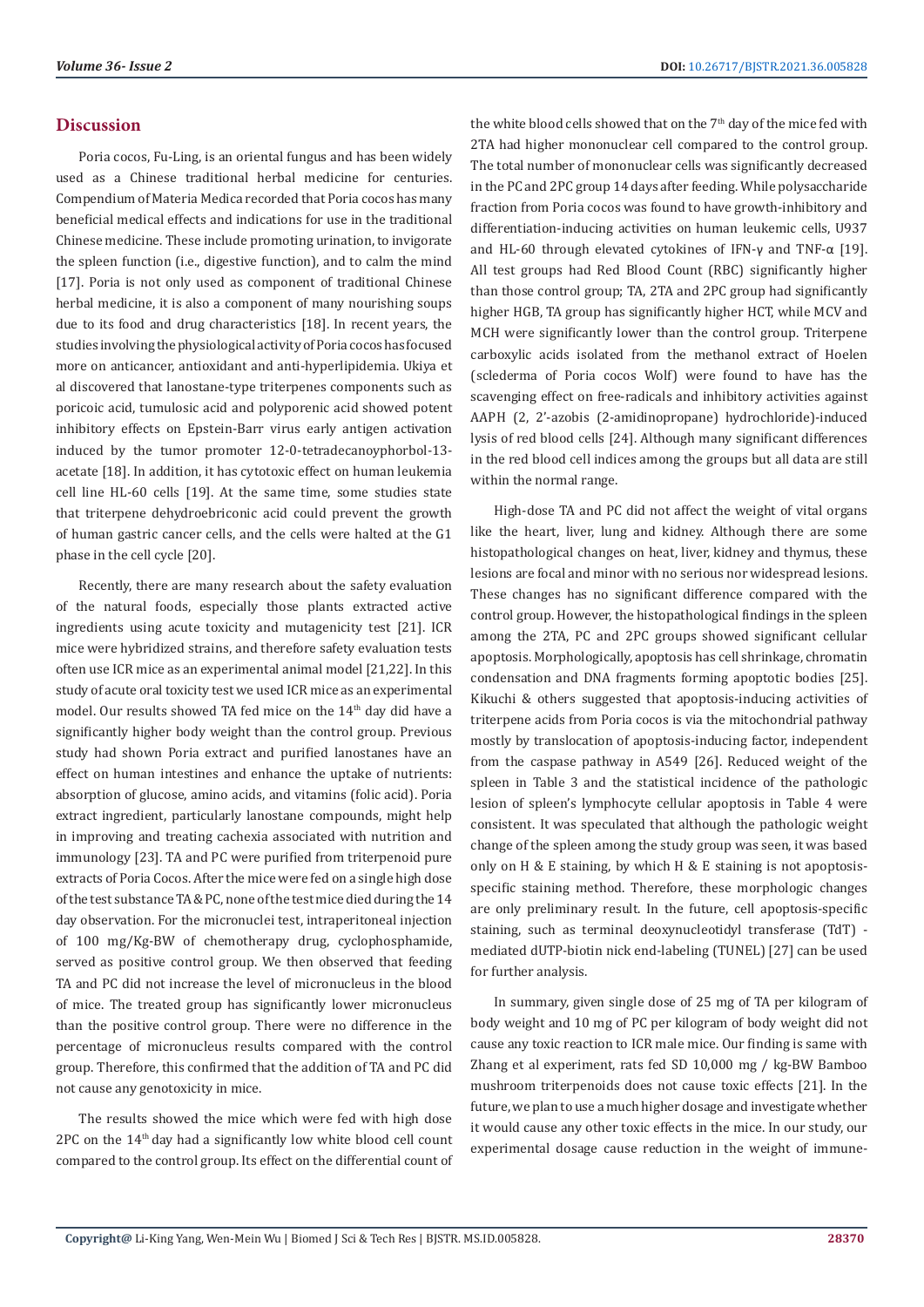#### **Discussion**

Poria cocos, Fu-Ling, is an oriental fungus and has been widely used as a Chinese traditional herbal medicine for centuries. Compendium of Materia Medica recorded that Poria cocos has many beneficial medical effects and indications for use in the traditional Chinese medicine. These include promoting urination, to invigorate the spleen function (i.e., digestive function), and to calm the mind [17]. Poria is not only used as component of traditional Chinese herbal medicine, it is also a component of many nourishing soups due to its food and drug characteristics [18]. In recent years, the studies involving the physiological activity of Poria cocos has focused more on anticancer, antioxidant and anti-hyperlipidemia. Ukiya et al discovered that lanostane-type triterpenes components such as poricoic acid, tumulosic acid and polyporenic acid showed potent inhibitory effects on Epstein-Barr virus early antigen activation induced by the tumor promoter 12-0-tetradecanoyphorbol-13 acetate [18]. In addition, it has cytotoxic effect on human leukemia cell line HL-60 cells [19]. At the same time, some studies state that triterpene dehydroebriconic acid could prevent the growth of human gastric cancer cells, and the cells were halted at the G1 phase in the cell cycle [20].

Recently, there are many research about the safety evaluation of the natural foods, especially those plants extracted active ingredients using acute toxicity and mutagenicity test [21]. ICR mice were hybridized strains, and therefore safety evaluation tests often use ICR mice as an experimental animal model [21,22]. In this study of acute oral toxicity test we used ICR mice as an experimental model. Our results showed TA fed mice on the 14<sup>th</sup> day did have a significantly higher body weight than the control group. Previous study had shown Poria extract and purified lanostanes have an effect on human intestines and enhance the uptake of nutrients: absorption of glucose, amino acids, and vitamins (folic acid). Poria extract ingredient, particularly lanostane compounds, might help in improving and treating cachexia associated with nutrition and immunology [23]. TA and PC were purified from triterpenoid pure extracts of Poria Cocos. After the mice were fed on a single high dose of the test substance TA & PC, none of the test mice died during the 14 day observation. For the micronuclei test, intraperitoneal injection of 100 mg/Kg-BW of chemotherapy drug, cyclophosphamide, served as positive control group. We then observed that feeding TA and PC did not increase the level of micronucleus in the blood of mice. The treated group has significantly lower micronucleus than the positive control group. There were no difference in the percentage of micronucleus results compared with the control group. Therefore, this confirmed that the addition of TA and PC did not cause any genotoxicity in mice.

The results showed the mice which were fed with high dose 2PC on the 14th day had a significantly low white blood cell count compared to the control group. Its effect on the differential count of the white blood cells showed that on the 7<sup>th</sup> day of the mice fed with 2TA had higher mononuclear cell compared to the control group. The total number of mononuclear cells was significantly decreased in the PC and 2PC group 14 days after feeding. While polysaccharide fraction from Poria cocos was found to have growth-inhibitory and differentiation-inducing activities on human leukemic cells, U937 and HL-60 through elevated cytokines of IFN-γ and TNF-α [19]. All test groups had Red Blood Count (RBC) significantly higher than those control group; TA, 2TA and 2PC group had significantly higher HGB, TA group has significantly higher HCT, while MCV and MCH were significantly lower than the control group. Triterpene carboxylic acids isolated from the methanol extract of Hoelen (sclederma of Poria cocos Wolf) were found to have has the scavenging effect on free-radicals and inhibitory activities against AAPH (2, 2'-azobis (2-amidinopropane) hydrochloride)-induced lysis of red blood cells [24]. Although many significant differences in the red blood cell indices among the groups but all data are still within the normal range.

High-dose TA and PC did not affect the weight of vital organs like the heart, liver, lung and kidney. Although there are some histopathological changes on heat, liver, kidney and thymus, these lesions are focal and minor with no serious nor widespread lesions. These changes has no significant difference compared with the control group. However, the histopathological findings in the spleen among the 2TA, PC and 2PC groups showed significant cellular apoptosis. Morphologically, apoptosis has cell shrinkage, chromatin condensation and DNA fragments forming apoptotic bodies [25]. Kikuchi & others suggested that apoptosis-inducing activities of triterpene acids from Poria cocos is via the mitochondrial pathway mostly by translocation of apoptosis-inducing factor, independent from the caspase pathway in A549 [26]. Reduced weight of the spleen in Table 3 and the statistical incidence of the pathologic lesion of spleen's lymphocyte cellular apoptosis in Table 4 were consistent. It was speculated that although the pathologic weight change of the spleen among the study group was seen, it was based only on H & E staining, by which H & E staining is not apoptosisspecific staining method. Therefore, these morphologic changes are only preliminary result. In the future, cell apoptosis-specific staining, such as terminal deoxynucleotidyl transferase (TdT) mediated dUTP-biotin nick end-labeling (TUNEL) [27] can be used for further analysis.

In summary, given single dose of 25 mg of TA per kilogram of body weight and 10 mg of PC per kilogram of body weight did not cause any toxic reaction to ICR male mice. Our finding is same with Zhang et al experiment, rats fed SD 10,000 mg / kg-BW Bamboo mushroom triterpenoids does not cause toxic effects [21]. In the future, we plan to use a much higher dosage and investigate whether it would cause any other toxic effects in the mice. In our study, our experimental dosage cause reduction in the weight of immune-